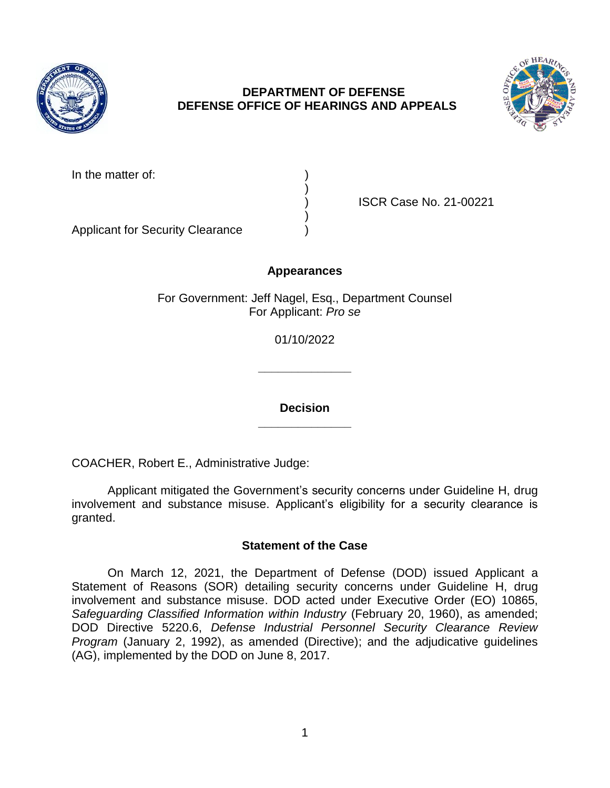

## **DEPARTMENT OF DEFENSE DEFENSE OFFICE OF HEARINGS AND APPEALS**



| In the matter of: |  |
|-------------------|--|
|                   |  |

) ISCR Case No. 21-00221

Applicant for Security Clearance )

# **Appearances**

)

)

For Government: Jeff Nagel, Esq., Department Counsel For Applicant: *Pro se*

01/10/2022

**\_\_\_\_\_\_\_\_\_\_\_\_\_\_**

**\_\_\_\_\_\_\_\_\_\_\_\_\_\_ Decision**

COACHER, Robert E., Administrative Judge:

Applicant mitigated the Government's security concerns under Guideline H, drug involvement and substance misuse. Applicant's eligibility for a security clearance is granted.

## **Statement of the Case**

On March 12, 2021, the Department of Defense (DOD) issued Applicant a Statement of Reasons (SOR) detailing security concerns under Guideline H, drug involvement and substance misuse. DOD acted under Executive Order (EO) 10865, *Safeguarding Classified Information within Industry* (February 20, 1960), as amended; DOD Directive 5220.6, *Defense Industrial Personnel Security Clearance Review Program* (January 2, 1992), as amended (Directive); and the adjudicative guidelines (AG), implemented by the DOD on June 8, 2017.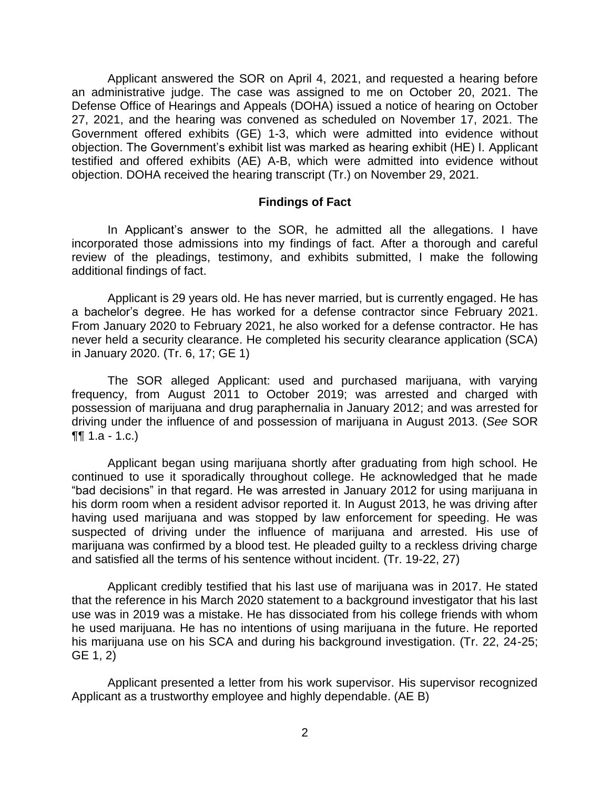Applicant answered the SOR on April 4, 2021, and requested a hearing before an administrative judge. The case was assigned to me on October 20, 2021. The Defense Office of Hearings and Appeals (DOHA) issued a notice of hearing on October 27, 2021, and the hearing was convened as scheduled on November 17, 2021. The Government offered exhibits (GE) 1-3, which were admitted into evidence without objection. The Government's exhibit list was marked as hearing exhibit (HE) I. Applicant testified and offered exhibits (AE) A-B, which were admitted into evidence without objection. DOHA received the hearing transcript (Tr.) on November 29, 2021.

#### **Findings of Fact**

In Applicant's answer to the SOR, he admitted all the allegations. I have incorporated those admissions into my findings of fact. After a thorough and careful review of the pleadings, testimony, and exhibits submitted, I make the following additional findings of fact.

Applicant is 29 years old. He has never married, but is currently engaged. He has a bachelor's degree. He has worked for a defense contractor since February 2021. From January 2020 to February 2021, he also worked for a defense contractor. He has never held a security clearance. He completed his security clearance application (SCA) in January 2020. (Tr. 6, 17; GE 1)

The SOR alleged Applicant: used and purchased marijuana, with varying frequency, from August 2011 to October 2019; was arrested and charged with possession of marijuana and drug paraphernalia in January 2012; and was arrested for driving under the influence of and possession of marijuana in August 2013. (*See* SOR ¶¶ 1.a - 1.c.)

Applicant began using marijuana shortly after graduating from high school. He continued to use it sporadically throughout college. He acknowledged that he made "bad decisions" in that regard. He was arrested in January 2012 for using marijuana in his dorm room when a resident advisor reported it. In August 2013, he was driving after having used marijuana and was stopped by law enforcement for speeding. He was suspected of driving under the influence of marijuana and arrested. His use of marijuana was confirmed by a blood test. He pleaded guilty to a reckless driving charge and satisfied all the terms of his sentence without incident. (Tr. 19-22, 27)

Applicant credibly testified that his last use of marijuana was in 2017. He stated that the reference in his March 2020 statement to a background investigator that his last use was in 2019 was a mistake. He has dissociated from his college friends with whom he used marijuana. He has no intentions of using marijuana in the future. He reported his marijuana use on his SCA and during his background investigation. (Tr. 22, 24-25; GE 1, 2)

Applicant presented a letter from his work supervisor. His supervisor recognized Applicant as a trustworthy employee and highly dependable. (AE B)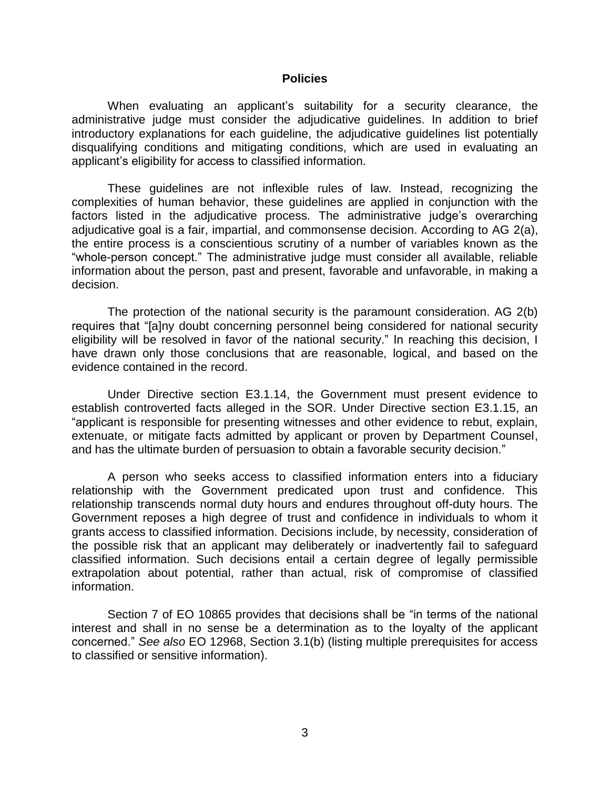#### **Policies**

When evaluating an applicant's suitability for a security clearance, the administrative judge must consider the adjudicative guidelines. In addition to brief introductory explanations for each guideline, the adjudicative guidelines list potentially disqualifying conditions and mitigating conditions, which are used in evaluating an applicant's eligibility for access to classified information.

These guidelines are not inflexible rules of law. Instead, recognizing the complexities of human behavior, these guidelines are applied in conjunction with the factors listed in the adjudicative process. The administrative judge's overarching adjudicative goal is a fair, impartial, and commonsense decision. According to AG 2(a), the entire process is a conscientious scrutiny of a number of variables known as the "whole-person concept." The administrative judge must consider all available, reliable information about the person, past and present, favorable and unfavorable, in making a decision.

The protection of the national security is the paramount consideration. AG 2(b) requires that "[a]ny doubt concerning personnel being considered for national security eligibility will be resolved in favor of the national security." In reaching this decision, I have drawn only those conclusions that are reasonable, logical, and based on the evidence contained in the record.

Under Directive section E3.1.14, the Government must present evidence to establish controverted facts alleged in the SOR. Under Directive section E3.1.15, an "applicant is responsible for presenting witnesses and other evidence to rebut, explain, extenuate, or mitigate facts admitted by applicant or proven by Department Counsel, and has the ultimate burden of persuasion to obtain a favorable security decision."

A person who seeks access to classified information enters into a fiduciary relationship with the Government predicated upon trust and confidence. This relationship transcends normal duty hours and endures throughout off-duty hours. The Government reposes a high degree of trust and confidence in individuals to whom it grants access to classified information. Decisions include, by necessity, consideration of the possible risk that an applicant may deliberately or inadvertently fail to safeguard classified information. Such decisions entail a certain degree of legally permissible extrapolation about potential, rather than actual, risk of compromise of classified information.

Section 7 of EO 10865 provides that decisions shall be "in terms of the national interest and shall in no sense be a determination as to the loyalty of the applicant concerned." *See also* EO 12968, Section 3.1(b) (listing multiple prerequisites for access to classified or sensitive information).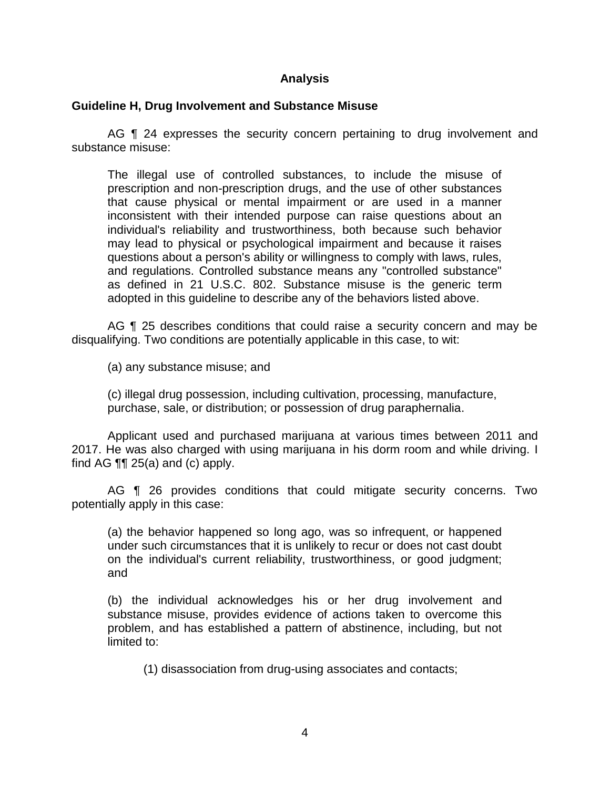## **Analysis**

#### **Guideline H, Drug Involvement and Substance Misuse**

AG ¶ 24 expresses the security concern pertaining to drug involvement and substance misuse:

The illegal use of controlled substances, to include the misuse of prescription and non-prescription drugs, and the use of other substances that cause physical or mental impairment or are used in a manner inconsistent with their intended purpose can raise questions about an individual's reliability and trustworthiness, both because such behavior may lead to physical or psychological impairment and because it raises questions about a person's ability or willingness to comply with laws, rules, and regulations. Controlled substance means any "controlled substance" as defined in 21 U.S.C. 802. Substance misuse is the generic term adopted in this guideline to describe any of the behaviors listed above.

AG **[1** 25 describes conditions that could raise a security concern and may be disqualifying. Two conditions are potentially applicable in this case, to wit:

(a) any substance misuse; and

(c) illegal drug possession, including cultivation, processing, manufacture, purchase, sale, or distribution; or possession of drug paraphernalia.

 Applicant used and purchased marijuana at various times between 2011 and 2017. He was also charged with using marijuana in his dorm room and while driving. I find AG  $\P\P$  25(a) and (c) apply.

AG **[1** 26 provides conditions that could mitigate security concerns. Two potentially apply in this case:

(a) the behavior happened so long ago, was so infrequent, or happened under such circumstances that it is unlikely to recur or does not cast doubt on the individual's current reliability, trustworthiness, or good judgment; and

(b) the individual acknowledges his or her drug involvement and substance misuse, provides evidence of actions taken to overcome this problem, and has established a pattern of abstinence, including, but not limited to:

(1) disassociation from drug-using associates and contacts;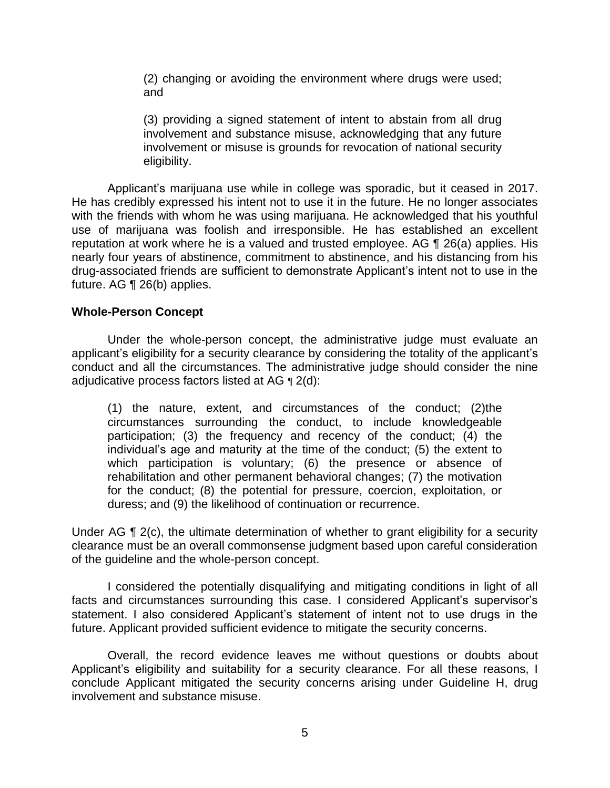(2) changing or avoiding the environment where drugs were used; and

(3) providing a signed statement of intent to abstain from all drug involvement and substance misuse, acknowledging that any future involvement or misuse is grounds for revocation of national security eligibility.

Applicant's marijuana use while in college was sporadic, but it ceased in 2017. He has credibly expressed his intent not to use it in the future. He no longer associates with the friends with whom he was using marijuana. He acknowledged that his youthful use of marijuana was foolish and irresponsible. He has established an excellent reputation at work where he is a valued and trusted employee. AG ¶ 26(a) applies. His nearly four years of abstinence, commitment to abstinence, and his distancing from his drug-associated friends are sufficient to demonstrate Applicant's intent not to use in the future. AG ¶ 26(b) applies.

## **Whole-Person Concept**

Under the whole-person concept, the administrative judge must evaluate an applicant's eligibility for a security clearance by considering the totality of the applicant's conduct and all the circumstances. The administrative judge should consider the nine adjudicative process factors listed at AG ¶ 2(d):

(1) the nature, extent, and circumstances of the conduct; (2)the circumstances surrounding the conduct, to include knowledgeable participation; (3) the frequency and recency of the conduct; (4) the individual's age and maturity at the time of the conduct; (5) the extent to which participation is voluntary; (6) the presence or absence of rehabilitation and other permanent behavioral changes; (7) the motivation for the conduct; (8) the potential for pressure, coercion, exploitation, or duress; and (9) the likelihood of continuation or recurrence.

Under AG ¶ 2(c), the ultimate determination of whether to grant eligibility for a security clearance must be an overall commonsense judgment based upon careful consideration of the guideline and the whole-person concept.

I considered the potentially disqualifying and mitigating conditions in light of all facts and circumstances surrounding this case. I considered Applicant's supervisor's statement. I also considered Applicant's statement of intent not to use drugs in the future. Applicant provided sufficient evidence to mitigate the security concerns.

Overall, the record evidence leaves me without questions or doubts about Applicant's eligibility and suitability for a security clearance. For all these reasons, I conclude Applicant mitigated the security concerns arising under Guideline H, drug involvement and substance misuse.